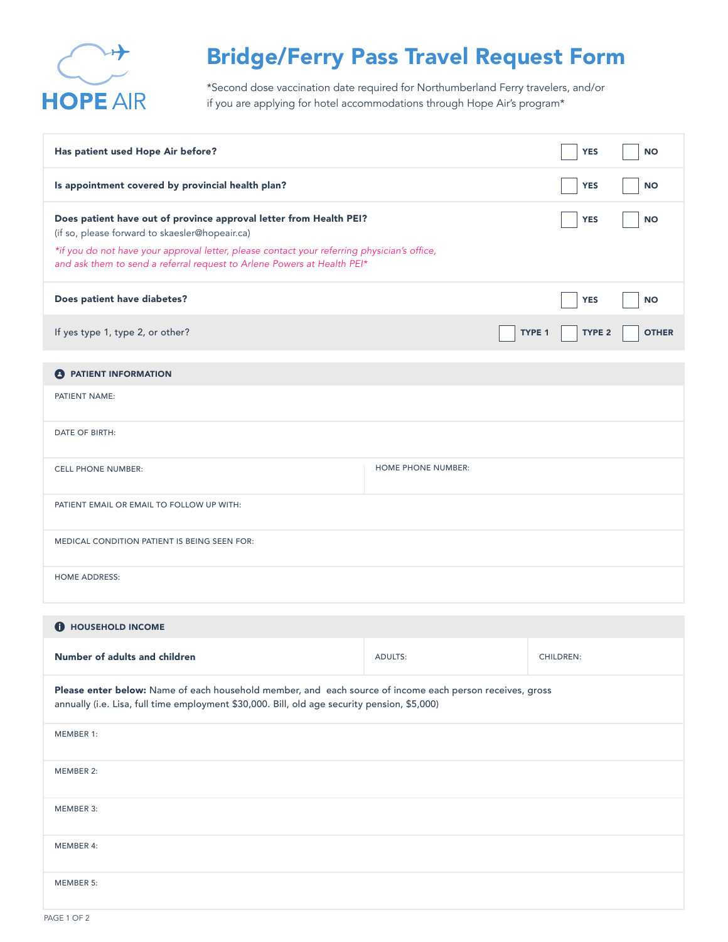

## Bridge/Ferry Pass Travel Request Form

\*Second dose vaccination date required for Northumberland Ferry travelers, and/or if you are applying for hotel accommodations through Hope Air's program\*

| Has patient used Hope Air before?                                                                                                                                                                                                                                                                                         |                           |                         | <b>NO</b>    |  |
|---------------------------------------------------------------------------------------------------------------------------------------------------------------------------------------------------------------------------------------------------------------------------------------------------------------------------|---------------------------|-------------------------|--------------|--|
| Is appointment covered by provincial health plan?                                                                                                                                                                                                                                                                         |                           |                         | <b>NO</b>    |  |
| Does patient have out of province approval letter from Health PEI?<br><b>YES</b><br><b>NO</b><br>(if so, please forward to skaesler@hopeair.ca)<br>*if you do not have your approval letter, please contact your referring physician's office,<br>and ask them to send a referral request to Arlene Powers at Health PEI* |                           |                         |              |  |
| Does patient have diabetes?                                                                                                                                                                                                                                                                                               |                           | <b>YES</b>              | <b>NO</b>    |  |
| If yes type 1, type 2, or other?                                                                                                                                                                                                                                                                                          |                           | <b>TYPE 2</b><br>TYPE 1 | <b>OTHER</b> |  |
| <b>A</b> PATIENT INFORMATION<br>PATIENT NAME:                                                                                                                                                                                                                                                                             |                           |                         |              |  |
| DATE OF BIRTH:                                                                                                                                                                                                                                                                                                            |                           |                         |              |  |
| <b>CELL PHONE NUMBER:</b>                                                                                                                                                                                                                                                                                                 | <b>HOME PHONE NUMBER:</b> |                         |              |  |
| PATIENT EMAIL OR EMAIL TO FOLLOW UP WITH:                                                                                                                                                                                                                                                                                 |                           |                         |              |  |
| MEDICAL CONDITION PATIENT IS BEING SEEN FOR:                                                                                                                                                                                                                                                                              |                           |                         |              |  |
| <b>HOME ADDRESS:</b>                                                                                                                                                                                                                                                                                                      |                           |                         |              |  |
| <b>O</b> HOUSEHOLD INCOME                                                                                                                                                                                                                                                                                                 |                           |                         |              |  |
| Number of adults and children                                                                                                                                                                                                                                                                                             | <b>ADULTS:</b>            | <b>CHILDREN:</b>        |              |  |

Please enter below: Name of each household member, and each source of income each person receives, gross annually (i.e. Lisa, full time employment \$30,000. Bill, old age security pension, \$5,000)

| MEMBER 1: |  |  |  |
|-----------|--|--|--|
| MEMBER 2: |  |  |  |
| MEMBER 3: |  |  |  |
| MEMBER 4: |  |  |  |
| MEMBER 5: |  |  |  |